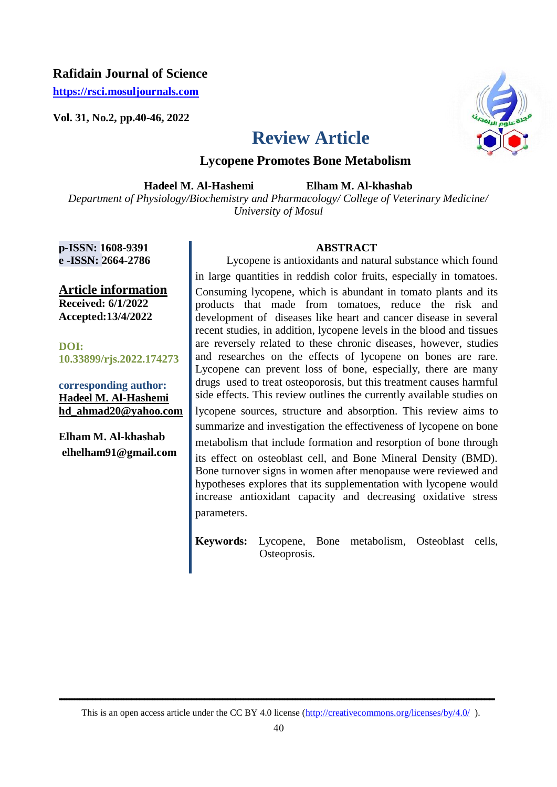# **Rafidain Journal of Science**

**[https://rsci.mosuljournals.com](https://rsci.mosuljournals.com/)**

**Vol. 31, No.2, pp.40-46, 2022**



# **Review Article**

# **Lycopene Promotes Bone Metabolism**

**Hadeel M. Al-Hashemi** 

 **Elham M. Al-khashab**

*Department of Physiology/Biochemistry and Pharmacology/ College of Veterinary Medicine/ University of Mosul*

**p-ISSN: 1608-9391 e -ISSN: 2664-2786**

**Article information Received: 6/1/2022 Accepted:13/4/2022**

**DOI: 10.33899/rjs.2022.174273**

**corresponding author: Hadeel M. Al-Hashemi hd\_ahmad20@yahoo.com**

**Elham M. Al-khashab [elhelham91@gmail.com](mailto:elhelham91@gmail.com)**

### **ABSTRACT**

 Lycopene is antioxidants and natural substance which found in large quantities in reddish color fruits, especially in tomatoes. Consuming lycopene, which is abundant in tomato plants and its products that made from tomatoes, reduce the risk and development of diseases like heart and cancer disease in several recent studies, in addition, lycopene levels in the blood and tissues are reversely related to these chronic diseases, however, studies and researches on the effects of lycopene on bones are rare. Lycopene can prevent loss of bone, especially, there are many drugs used to treat osteoporosis, but this treatment causes harmful side effects. This review outlines the currently available studies on lycopene sources, structure and absorption. This review aims to summarize and investigation the effectiveness of lycopene on bone metabolism that include formation and resorption of bone through its effect on osteoblast cell, and Bone Mineral Density (BMD). Bone turnover signs in women after menopause were reviewed and hypotheses explores that its supplementation with lycopene would increase antioxidant capacity and decreasing oxidative stress parameters.

**Keywords:** Lycopene, Bone metabolism, Osteoblast cells, Osteoprosis.

**ــــــــــــــــــــــــــــــــــــــــــــــــــــــــــــــــــــــــــــــــــــــــــــــــــــــــــــــــــــــــــــــــــــــــــــــــــــــــــــــــــــــــ**  This is an open access article under the CC BY 4.0 license (http://creativecommons.org/licenses/by/4.0/).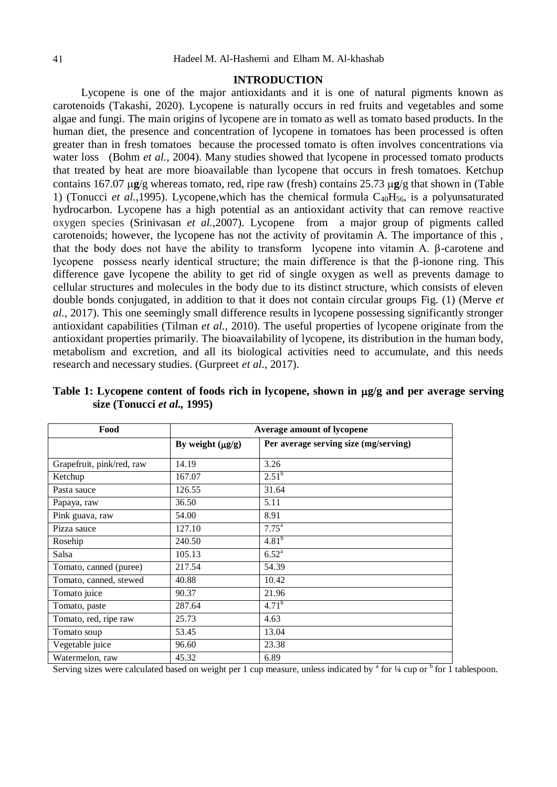#### **INTRODUCTION**

 Lycopene is one of the major antioxidants and it is one of natural pigments known as carotenoids (Takashi, 2020). Lycopene is naturally occurs in red fruits and vegetables and some algae and fungi. The main origins of lycopene are in tomato as well as tomato based products. In the human diet, the presence and concentration of lycopene in tomatoes has been processed is often greater than in fresh tomatoes because the processed tomato is often involves concentrations via water loss (Bohm *et al., 2004)*. Many studies showed that lycopene in processed tomato products that treated by heat are more bioavailable than lycopene that occurs in fresh tomatoes. Ketchup contains 167.07  $\mu$ g/g whereas tomato, red, ripe raw (fresh) contains 25.73  $\mu$ g/g that shown in (Table 1) (Tonucci *et al.*,1995). Lycopene, which has the chemical formula  $C_{40}H_{56}$ , is a polyunsaturated hydrocarbon. Lycopene has a high potential as an antioxidant activity that can remove reactive oxygen species (Srinivasan *et al.,*2007). Lycopene from a major group of pigments called carotenoids; however, the lycopene has not the activity of provitamin A. The importance of this , that the body does not have the ability to transform lycopene into vitamin A. β-carotene and lycopene possess nearly identical structure; the main difference is that the β-ionone ring. This difference gave lycopene the ability to get rid of single oxygen as well as prevents damage to cellular structures and molecules in the body due to its distinct structure, which consists of eleven double bonds conjugated, in addition to that it does not contain circular groups Fig. (1) (Merve *et al.,* 2017). This one seemingly small difference results in lycopene possessing significantly stronger antioxidant capabilities (Tilman *et al.,* 2010). The useful properties of lycopene originate from the antioxidant properties primarily. The bioavailability of lycopene, its distribution in the human body, metabolism and excretion, and all its biological activities need to accumulate, and this needs research and necessary studies. (Gurpreet *et al.,* 2017).

| Food                      | Average amount of lycopene |                                       |
|---------------------------|----------------------------|---------------------------------------|
|                           | By weight $(\mu g/g)$      | Per average serving size (mg/serving) |
| Grapefruit, pink/red, raw | 14.19                      | 3.26                                  |
| Ketchup                   | 167.07                     | $2.51^{b}$                            |
| Pasta sauce               | 126.55                     | 31.64                                 |
| Papaya, raw               | 36.50                      | 5.11                                  |
| Pink guava, raw           | 54.00                      | 8.91                                  |
| Pizza sauce               | 127.10                     | $7.75^{\rm a}$                        |
| Rosehip                   | 240.50                     | $4.81^{b}$                            |
| Salsa                     | 105.13                     | $6.52^{a}$                            |
| Tomato, canned (puree)    | 217.54                     | 54.39                                 |
| Tomato, canned, stewed    | 40.88                      | 10.42                                 |
| Tomato juice              | 90.37                      | 21.96                                 |
| Tomato, paste             | 287.64                     | $4.71^{b}$                            |
| Tomato, red, ripe raw     | 25.73                      | 4.63                                  |
| Tomato soup               | 53.45                      | 13.04                                 |
| Vegetable juice           | 96.60                      | 23.38                                 |
| Watermelon, raw           | 45.32                      | 6.89                                  |

Table 1: Lycopene content of foods rich in lycopene, shown in  $\mu$ g/g and per average serving **size (Tonucci** *et al.,* **1995)**

Serving sizes were calculated based on weight per 1 cup measure, unless indicated by  $^a$  for  $\frac{1}{4}$  cup or  $^b$  for 1 tablespoon.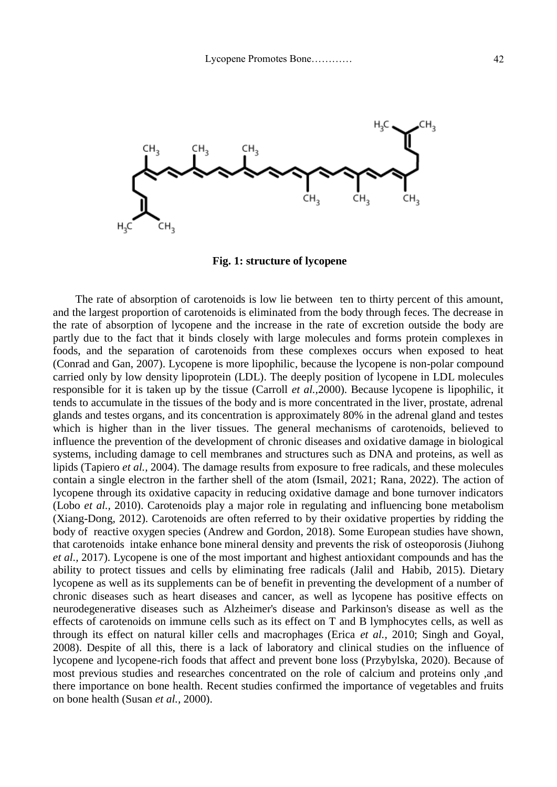

**Fig. 1: structure of lycopene**

 The rate of absorption of carotenoids is low lie between ten to thirty percent of this amount, and the largest proportion of carotenoids is eliminated from the body through feces. The decrease in the rate of absorption of lycopene and the increase in the rate of excretion outside the body are partly due to the fact that it binds closely with large molecules and forms protein complexes in foods, and the separation of carotenoids from these complexes occurs when exposed to heat [\(Conrad and](https://www.tandfonline.com/author/Perera%2C+Conrad+O) Gan, [2007\)](https://www.tandfonline.com/author/Yen%2C+Gan+Mei). Lycopene is more lipophilic, because the lycopene is non-polar compound carried only by low density lipoprotein (LDL). The deeply position of lycopene in LDL molecules responsible for it is taken up by the tissue (Carroll *et al.,*2000). Because lycopene is lipophilic, it tends to accumulate in the tissues of the body and is more concentrated in the liver, prostate, adrenal glands and testes organs, and its concentration is approximately 80% in the adrenal gland and testes which is higher than in the liver tissues. The general mechanisms of carotenoids, believed to influence the prevention of the development of chronic diseases and oxidative damage in biological systems, including damage to cell membranes and structures such as DNA and proteins, as well as lipids (Tapiero *et al.,* 2004). The damage results from exposure to free radicals, and these molecules contain a single electron in the farther shell of the atom (Ismail, 2021; Rana, 2022). The action of lycopene through its oxidative capacity in reducing oxidative damage and bone turnover indicators (Lobo *et al.,* 2010). Carotenoids play a major role in regulating and influencing bone metabolism (Xiang-Dong, 2012). Carotenoids are often referred to by their oxidative properties by ridding the body of reactive oxygen species [\(Andrew and](https://www.ncbi.nlm.nih.gov/pubmed/?term=Young%20AJ%5BAuthor%5D&cauthor=true&cauthor_uid=29439455) [Gordon,](https://www.ncbi.nlm.nih.gov/pubmed/?term=Lowe%20GL%5BAuthor%5D&cauthor=true&cauthor_uid=29439455) 2018). Some European studies have shown, that carotenoids intake enhance bone mineral density and prevents the risk of osteoporosis (Jiuhong *et al.,* 2017). Lycopene is one of the most important and highest antioxidant compounds and has the ability to protect tissues and cells by eliminating free radicals [\(Jalil and](https://www.ncbi.nlm.nih.gov/pubmed/?term=Pirayesh%20Islamian%20J%5BAuthor%5D&cauthor=true&cauthor_uid=25685729) [Habib, 2](https://www.ncbi.nlm.nih.gov/pubmed/?term=Mehrali%20H%5BAuthor%5D&cauthor=true&cauthor_uid=25685729)015). Dietary lycopene as well as its supplements can be of benefit in preventing the development of a number of chronic diseases such as heart diseases and cancer, as well as lycopene has positive effects on neurodegenerative diseases such as Alzheimer's disease and Parkinson's disease as well as the effects of carotenoids on immune cells such as its effect on T and B lymphocytes cells, as well as through its effect on natural killer cells and macrophages (Erica *et al.,* 2010; Singh and Goyal, 2008). Despite of all this, there is a lack of laboratory and clinical studies on the influence of lycopene and lycopene-rich foods that affect and prevent bone loss (Przybylska, 2020). Because of most previous studies and researches concentrated on the role of calcium and proteins only ,and there importance on bone health. Recent studies confirmed the importance of vegetables and fruits on bone health (Susan *et al.,* 2000).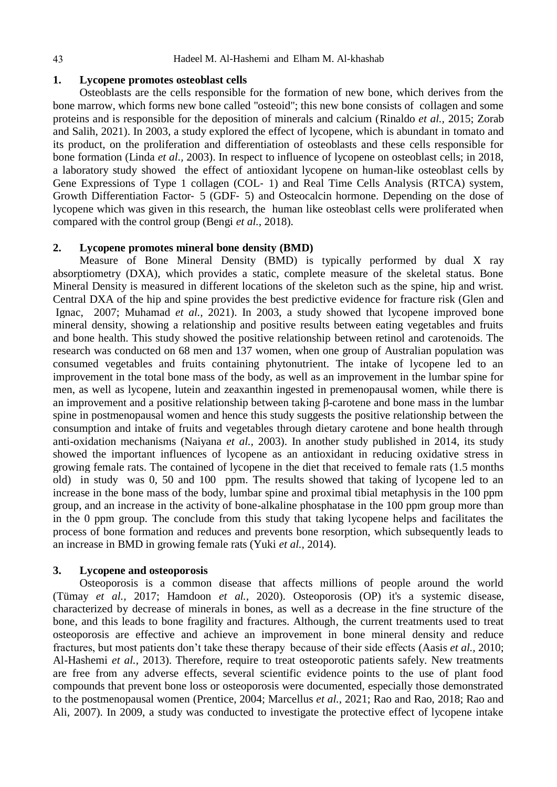#### 44 Hadeel M. Al-Hashemi and Elham M. Al-khashab

#### **1. Lycopene promotes osteoblast cells**

Osteoblasts are the cells responsible for the formation of new bone, which derives from the bone marrow, which forms new bone called "osteoid"; this new bone consists of collagen and some proteins and is responsible for the deposition of minerals and calcium (Rinaldo *et al.,* 2015; Zorab and Salih, 2021). In 2003, a study explored the effect of lycopene, which is abundant in tomato and its product, on the proliferation and differentiation of osteoblasts and these cells responsible for bone formation (Linda *et al.,* 2003). In respect to influence of lycopene on osteoblast cells; in 2018, a laboratory study showed the effect of antioxidant lycopene on human-like osteoblast cells by Gene Expressions of Type 1 collagen (COL‐ 1) and Real Time Cells Analysis (RTCA) system, Growth Differentiation Factor‐ 5 (GDF‐ 5) and Osteocalcin hormone. Depending on the dose of lycopene which was given in this research, the human like osteoblast cells were proliferated when compared with the control group (Bengi *et al.,* 2018).

#### **2. Lycopene promotes mineral bone density (BMD)**

Measure of Bone Mineral Density (BMD) is typically performed by dual X ray absorptiometry (DXA), which provides a static, complete measure of the skeletal status. Bone Mineral Density is measured in different locations of the skeleton such as the spine, hip and wrist. Central DXA of the hip and spine provides the best predictive evidence for fracture risk [\(Glen and](https://www.ncbi.nlm.nih.gov/pubmed/?term=Blake%20GM%5BAuthor%5D&cauthor=true&cauthor_uid=17675543) [Ignac,](https://www.ncbi.nlm.nih.gov/pubmed/?term=Fogelman%20I%5BAuthor%5D&cauthor=true&cauthor_uid=17675543) 2007; Muhamad *et al.,* 2021). In 2003, a study showed that lycopene improved bone mineral density, showing a relationship and positive results between eating vegetables and fruits and bone health. This study showed the positive relationship between retinol and carotenoids. The research was conducted on 68 men and 137 women, when one group of Australian population was consumed vegetables and fruits containing phytonutrient. The intake of lycopene led to an improvement in the total bone mass of the body, as well as an improvement in the lumbar spine for men, as well as lycopene, lutein and zeaxanthin ingested in premenopausal women, while there is an improvement and a positive relationship between taking β-carotene and bone mass in the lumbar spine in postmenopausal women and hence this study suggests the positive relationship between the consumption and intake of fruits and vegetables through dietary carotene and bone health through anti-oxidation mechanisms (Naiyana *et al.,* 2003). In another study published in 2014, its study showed the important influences of lycopene as an antioxidant in reducing oxidative stress in growing female rats. The contained of lycopene in the diet that received to female rats (1.5 months old) in study was 0, 50 and 100 ppm. The results showed that taking of lycopene led to an increase in the bone mass of the body, lumbar spine and proximal tibial metaphysis in the 100 ppm group, and an increase in the activity of bone-alkaline phosphatase in the 100 ppm group more than in the 0 ppm group. The conclude from this study that taking lycopene helps and facilitates the process of bone formation and reduces and prevents bone resorption, which subsequently leads to an increase in BMD in growing female rats (Yuki *et al.,* 2014).

#### **3. Lycopene and osteoporosis**

Osteoporosis is a common disease that affects millions of people around the world (Tümay *et al.,* 2017; Hamdoon *et al.,* 2020). Osteoporosis (OP) it's a systemic disease, characterized by decrease of minerals in bones, as well as a decrease in the fine structure of the bone, and this leads to bone fragility and fractures. Although, the current treatments used to treat osteoporosis are effective and achieve an improvement in bone mineral density and reduce fractures, but most patients don't take these therapy because of their side effects (Aasis *et al.,* 2010; Al-Hashemi *et al.,* 2013). Therefore, require to treat osteoporotic patients safely. New treatments are free from any adverse effects, several scientific evidence points to the use of plant food compounds that prevent bone loss or osteoporosis were documented, especially those demonstrated to the postmenopausal women (Prentice, 2004; Marcellus *et al.,* 2021; Rao and Rao, 2018; Rao and Ali, 2007). In 2009, a study was conducted to investigate the protective effect of lycopene intake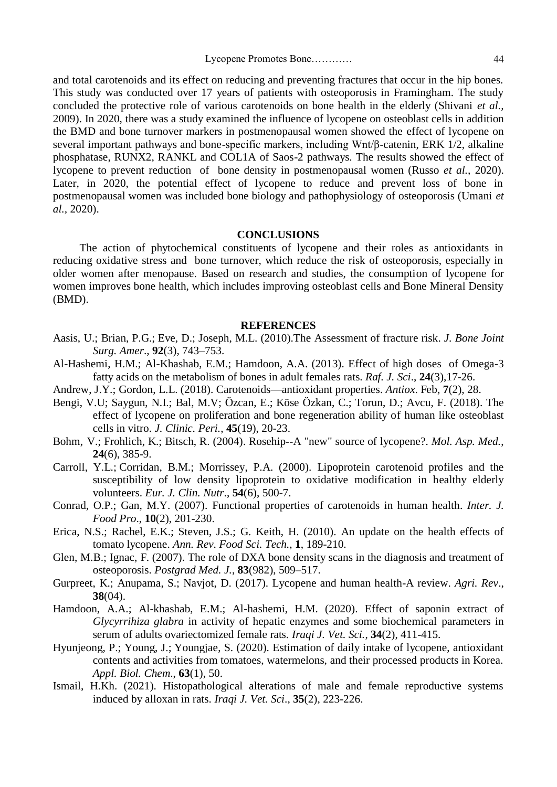and total carotenoids and its effect on reducing and preventing fractures that occur in the hip bones. This study was conducted over 17 years of patients with osteoporosis in Framingham. The study concluded the protective role of various carotenoids on bone health in the elderly (Shivani *et al.,*  2009). In 2020, there was a study examined the influence of lycopene on osteoblast cells in addition the BMD and bone turnover markers in postmenopausal women showed the effect of lycopene on several important pathways and bone-specific markers, including Wnt/β-catenin, ERK 1/2, alkaline phosphatase, RUNX2, RANKL and COL1A of Saos-2 pathways. The results showed the effect of lycopene to prevent reduction of bone density in postmenopausal women (Russo *et al.,* 2020). Later, in 2020, the potential effect of lycopene to reduce and prevent loss of bone in postmenopausal women was included bone biology and pathophysiology of osteoporosis (Umani *et al.,* 2020).

#### **CONCLUSIONS**

The action of phytochemical constituents of lycopene and their roles as antioxidants in reducing oxidative stress and bone turnover, which reduce the risk of osteoporosis, especially in older women after menopause. Based on research and studies, the consumption of lycopene for women improves bone health, which includes improving osteoblast cells and Bone Mineral Density (BMD).

#### **REFERENCES**

- [Aasis, U.](https://www.ncbi.nlm.nih.gov/pubmed/?term=Unnanuntana%20A%5BAuthor%5D&cauthor=true&cauthor_uid=20194335); [Brian, P.G.](https://www.ncbi.nlm.nih.gov/pubmed/?term=Gladnick%20BP%5BAuthor%5D&cauthor=true&cauthor_uid=20194335); [Eve, D.](https://www.ncbi.nlm.nih.gov/pubmed/?term=Donnelly%20E%5BAuthor%5D&cauthor=true&cauthor_uid=20194335); [Joseph, M.L.](https://www.ncbi.nlm.nih.gov/pubmed/?term=Lane%20JM%5BAuthor%5D&cauthor=true&cauthor_uid=20194335) (2010).The Assessment of fracture risk. *[J. Bone Joint](https://www.ncbi.nlm.nih.gov/pmc/articles/PMC2827823/)  Surg. [Amer](https://www.ncbi.nlm.nih.gov/pmc/articles/PMC2827823/)*., **92**(3), 743–753.
- Al-Hashemi, H.M.; Al-Khashab, E.M.; Hamdoon, A.A. (2013). Effect of high doses of Omega-3 fatty acids on the metabolism of bones in adult females rats. *Raf. J. Sci*., **24**(3),17-26.
- [Andrew, J.Y.](https://www.ncbi.nlm.nih.gov/pubmed/?term=Young%20AJ%5BAuthor%5D&cauthor=true&cauthor_uid=29439455); [Gordon,](https://www.ncbi.nlm.nih.gov/pubmed/?term=Lowe%20GL%5BAuthor%5D&cauthor=true&cauthor_uid=29439455) L.L. (2018). Carotenoids—antioxidant properties. *[Antiox](https://www.ncbi.nlm.nih.gov/pmc/articles/PMC5836018/)*. Feb, **7**(2), 28.
- Bengi, V.U; Saygun, N.I.; Bal, M.V; Özcan, E.; Köse Özkan, C.; Torun, D.; Avcu, F. (2018). The effect of lycopene on proliferation and bone regeneration ability of human like osteoblast cells in vitro. *J. Clinic. Peri.*, **45**[\(19\)](https://onlinelibrary.wiley.com/toc/1600051x/2018/45/S19), [20-23.](https://onlinelibrary.wiley.com/toc/1600051x/2018/45/S19)
- Bohm, V.; Frohlich, K.; Bitsch, R. (2004). Rosehip--A "new" source of lycopene?. *Mol. Asp. [Med.](https://www.researchgate.net/journal/Molecular-Aspects-of-Medicine-0098-2997)*, **24**(6), 385-9.
- Carroll, [Y.L.](https://pubmed.ncbi.nlm.nih.gov/?term=Carroll+YL&cauthor_id=10878653); Corridan, [B.M.](https://pubmed.ncbi.nlm.nih.gov/?term=Corridan+BM&cauthor_id=10878653); Morrissey, [P.A.](https://pubmed.ncbi.nlm.nih.gov/?term=Morrissey+PA&cauthor_id=10878653) (2000). Lipoprotein carotenoid profiles and the susceptibility of low density lipoprotein to oxidative modification in healthy elderly volunteers. *Eur. J. Clin. Nutr*., **54**(6), 500-7.
- [Conrad, O.P.](https://www.tandfonline.com/author/Perera%2C+Conrad+O); [Gan, M.Y.](https://www.tandfonline.com/author/Yen%2C+Gan+Mei) (2007). Functional properties of carotenoids in human health. *[Inter. J.](https://www.tandfonline.com/ljfp20)  [Food Pro](https://www.tandfonline.com/ljfp20)*., **10**(2), 201-230.
- [Erica, N.S.](https://www.ncbi.nlm.nih.gov/pubmed/?term=Story%20EN%5BAuthor%5D&cauthor=true&cauthor_uid=22129335); [Rachel, E.K.](https://www.ncbi.nlm.nih.gov/pubmed/?term=Kopec%20RE%5BAuthor%5D&cauthor=true&cauthor_uid=22129335); [Steven, J.S.](https://www.ncbi.nlm.nih.gov/pubmed/?term=Schwartz%20SJ%5BAuthor%5D&cauthor=true&cauthor_uid=22129335); [G. Keith, H.](https://www.ncbi.nlm.nih.gov/pubmed/?term=Harris%20GK%5BAuthor%5D&cauthor=true&cauthor_uid=22129335) (2010). An update on the health effects of tomato lycopene. *Ann. Rev. Food Sci. [Tech.](https://www.researchgate.net/journal/Annual-Review-of-Food-Science-and-Technology-1941-1413)*, **1**, 189-210.
- [Glen, M.B.](https://www.ncbi.nlm.nih.gov/pubmed/?term=Blake%20GM%5BAuthor%5D&cauthor=true&cauthor_uid=17675543); [Ignac, F.](https://www.ncbi.nlm.nih.gov/pubmed/?term=Fogelman%20I%5BAuthor%5D&cauthor=true&cauthor_uid=17675543) (2007). The role of DXA bone density scans in the diagnosis and treatment of osteoporosis. *[Postgrad](https://www.ncbi.nlm.nih.gov/pmc/articles/PMC2600106/) Med. J.*, **83**(982), 509–517.
- [Gurpreet,](https://www.researchgate.net/scientific-contributions/Gurpreet-Kaur-2135653147) K.; [Anupama,](https://www.researchgate.net/scientific-contributions/Anupama-Sandal-2135632381) S.; [Navjot,](https://www.researchgate.net/profile/Navjot-Dhillon-3) D. (2017). Lycopene and human health-A review. *[Agri.](https://www.researchgate.net/journal/Agricultural-Reviews-0253-1496) Rev*., **38**(04).
- Hamdoon, A.A.; Al-khashab, E.M.; Al-hashemi, H.M. (2020). Effect of saponin extract of *Glycyrrihiza glabra* in activity of hepatic enzymes and some biochemical parameters in serum of adults ovariectomized female rats. *Iraqi J. Vet. Sci.*, **34**(2), 411-415.
- [Hyunjeong, P.](https://link.springer.com/article/10.1186/s13765-020-00534-w#auth-Hyunjeong-Park); [Young, J.](https://link.springer.com/article/10.1186/s13765-020-00534-w#auth-Young_Jun-Kim); [Youngjae,](https://link.springer.com/article/10.1186/s13765-020-00534-w#auth-Youngjae-Shin) S. (2020). Estimation of daily intake of lycopene, antioxidant contents and activities from tomatoes, watermelons, and their processed products in Korea. *Appl. Biol. [Chem](https://www.researchgate.net/journal/Applied-Biological-Chemistry-2468-0834)*., **63**(1), 50.
- Ismail, H.Kh. (2021). Histopathological alterations of male and female reproductive systems induced by alloxan in rats. *Iraqi J. Vet. Sci*., **35**(2), 223-226.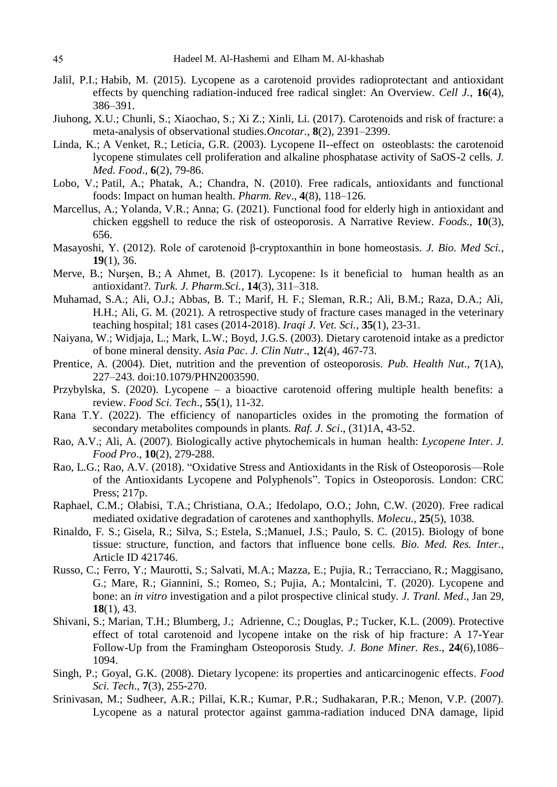- [Jalil, P.I.](https://www.ncbi.nlm.nih.gov/pubmed/?term=Pirayesh%20Islamian%20J%5BAuthor%5D&cauthor=true&cauthor_uid=25685729); [Habib, M.](https://www.ncbi.nlm.nih.gov/pubmed/?term=Mehrali%20H%5BAuthor%5D&cauthor=true&cauthor_uid=25685729) (2015). Lycopene as a carotenoid provides radioprotectant and antioxidant effects by quenching radiation-induced free radical singlet: An Overview. *[Cell J.](https://www.ncbi.nlm.nih.gov/pmc/articles/PMC4297477/)*, **16**(4), 386–391.
- [Jiuhong, X.U.](https://www.ncbi.nlm.nih.gov/pubmed/?term=Xu%20J%5BAuthor%5D&cauthor=true&cauthor_uid=27911854); [Chunli, S.](https://www.ncbi.nlm.nih.gov/pubmed/?term=Song%20C%5BAuthor%5D&cauthor=true&cauthor_uid=27911854); [Xiaochao, S.](https://www.ncbi.nlm.nih.gov/pubmed/?term=Song%20X%5BAuthor%5D&cauthor=true&cauthor_uid=27911854); [Xi Z.](https://www.ncbi.nlm.nih.gov/pubmed/?term=Zhang%20X%5BAuthor%5D&cauthor=true&cauthor_uid=27911854); [Xinli, Li.](https://www.ncbi.nlm.nih.gov/pubmed/?term=Li%20X%5BAuthor%5D&cauthor=true&cauthor_uid=27911854) (2017). Carotenoids and risk of fracture: a meta-analysis of observational studies*[.Oncotar.](https://www.ncbi.nlm.nih.gov/pmc/articles/PMC5356809/)*, **8**(2), 2391–2399.
- [Linda, K.](https://pubmed.ncbi.nlm.nih.gov/?term=Kim+L&cauthor_id=12935317); [A Venket, R.](https://pubmed.ncbi.nlm.nih.gov/?term=Rao+AV&cauthor_id=12935317); [Leticia, G.R.](https://pubmed.ncbi.nlm.nih.gov/?term=Rao+LG&cauthor_id=12935317) (2003). Lycopene II--effect on osteoblasts: the carotenoid lycopene stimulates cell proliferation and alkaline phosphatase activity of SaOS-2 cells. *J. Med. Food*., **6**(2), 79-86.
- Lobo, [V.](https://www.ncbi.nlm.nih.gov/pubmed/?term=Lobo%20V%5BAuthor%5D&cauthor=true&cauthor_uid=22228951); Patil, [A.](https://www.ncbi.nlm.nih.gov/pubmed/?term=Patil%20A%5BAuthor%5D&cauthor=true&cauthor_uid=22228951); Phatak, [A.](https://www.ncbi.nlm.nih.gov/pubmed/?term=Phatak%20A%5BAuthor%5D&cauthor=true&cauthor_uid=22228951); Chandra, [N.](https://www.ncbi.nlm.nih.gov/pubmed/?term=Chandra%20N%5BAuthor%5D&cauthor=true&cauthor_uid=22228951) (2010). Free radicals, antioxidants and functional foods: Impact on human health. *[Pharm. Rev](https://www.ncbi.nlm.nih.gov/pmc/articles/PMC3249911/)*., **4**(8), 118–126.
- [Marcellus, A.](https://www.ncbi.nlm.nih.gov/pubmed/?term=Arnold%20M%5BAuthor%5D&cauthor=true&cauthor_uid=33808726); [Yolanda, V.R.](https://www.ncbi.nlm.nih.gov/pubmed/?term=Rajagukguk%20YV%5BAuthor%5D&cauthor=true&cauthor_uid=33808726); [Anna; G.](https://www.ncbi.nlm.nih.gov/pubmed/?term=Gramza-Micha%26%23x00142%3Bowska%20A%5BAuthor%5D&cauthor=true&cauthor_uid=33808726) (2021). Functional food for elderly high in antioxidant and chicken eggshell to reduce the risk of osteoporosis. A Narrative Review. *[Foods.](https://www.ncbi.nlm.nih.gov/pmc/articles/PMC8003428/)*, **10**(3), 656.
- [Masayoshi, Y.](https://www.ncbi.nlm.nih.gov/pubmed/?term=Yamaguchi%20M%5BAuthor%5D&cauthor=true&cauthor_uid=22471523) (2012). Role of carotenoid β-cryptoxanthin in bone homeostasis. *[J. Bio. Med Sci.](https://www.ncbi.nlm.nih.gov/pmc/articles/PMC3361488/)*, **19**(1), 36.
- [Merve, B.](https://www.ncbi.nlm.nih.gov/pubmed/?term=BACANLI%20M%5BAuthor%5D&cauthor=true&cauthor_uid=32454630); Nursen, B.; [A Ahmet,](https://www.ncbi.nlm.nih.gov/pubmed/?term=BA%26%23x0015e%3BARAN%20AA%5BAuthor%5D&cauthor=true&cauthor_uid=32454630) B. (2017). Lycopene: Is it beneficial to human health as an antioxidant?. *[Turk. J. Pharm.Sci.](https://www.ncbi.nlm.nih.gov/pmc/articles/PMC7227929/)*, **14**(3), 311–318.
- Muhamad, S.A.; Ali, O.J.; Abbas, B. T.; Marif, H. F.; Sleman, R.R.; Ali, B.M.; Raza, D.A.; Ali, H.H.; Ali, G. M. (2021). A retrospective study of fracture cases managed in the veterinary teaching hospital; 181 cases (2014-2018). *Iraqi J. Vet. Sci.*, **35**(1), 23-31.
- [Naiyana, W.](https://pubmed.ncbi.nlm.nih.gov/?term=Wattanapenpaiboon+N&cauthor_id=14672872); [Widjaja, L.](https://pubmed.ncbi.nlm.nih.gov/?term=Lukito+W&cauthor_id=14672872); [Mark, L.W.](https://pubmed.ncbi.nlm.nih.gov/?term=Wahlqvist+ML&cauthor_id=14672872); [Boyd, J.G.S.](https://pubmed.ncbi.nlm.nih.gov/?term=Strauss+BJ&cauthor_id=14672872) (2003). Dietary carotenoid intake as a predictor of bone mineral density. *Asia Pac*. *J. Clin Nutr*., **12**(4), 467-73.
- Prentice, A. (2004). Diet, nutrition and the prevention of osteoporosis. *Pub. Health Nut*., **7**(1A), 227–243. doi:10.1079/PHN2003590.
- Przybylska, S. (2020). Lycopene a bioactive carotenoid offering multiple health benefits: a review. *Food Sci. Tech*., **[55](https://ifst.onlinelibrary.wiley.com/toc/13652621/2020/55/1)**(1), 11-32.
- Rana T.Y. (2022). The efficiency of nanoparticles oxides in the promoting the formation of secondary metabolites compounds in plants. *Raf. J. Sci*., (31)1A, 43-52.
- Rao, A.V.; Ali, A. (2007). Biologically active phytochemicals in human health: *Lycopene Inter*. *J. Food Pro*., **10**(2), 279-288.
- Rao, L.G.; Rao, A.V. (2018). "Oxidative Stress and Antioxidants in the Risk of Osteoporosis—Role of the Antioxidants Lycopene and Polyphenols". Topics in Osteoporosis. London: CRC Press; 217p.
- [Raphael, C.M.](https://www.ncbi.nlm.nih.gov/pubmed/?term=Mordi%20RC%5BAuthor%5D&cauthor=true&cauthor_uid=32110916); [Olabisi, T.A.](https://www.ncbi.nlm.nih.gov/pubmed/?term=Ademosun%20OT%5BAuthor%5D&cauthor=true&cauthor_uid=32110916); [Christiana, O.A.](https://www.ncbi.nlm.nih.gov/pubmed/?term=Ajanaku%20CO%5BAuthor%5D&cauthor=true&cauthor_uid=32110916); [Ifedolapo, O.O.](https://www.ncbi.nlm.nih.gov/pubmed/?term=Olanrewaju%20IO%5BAuthor%5D&cauthor=true&cauthor_uid=32110916); [John, C.W.](https://www.ncbi.nlm.nih.gov/pubmed/?term=Walton%20JC%5BAuthor%5D&cauthor=true&cauthor_uid=32110916) (2020). Free radical mediated oxidative degradation of carotenes and xanthophylls. *[Mole](https://www.ncbi.nlm.nih.gov/pmc/articles/PMC7179097/)cu.*, **25**(5), 1038.
- Rinaldo, F. S.; Gisela, R.; Silva, S.; Estela, S.;Manuel, J.S.; Paulo, S. C. (2015). Biology of bone tissue: structure, function, and factors that influence bone cells. *Bio. Med. Res. Inter.*, Article ID 421746.
- Russo, C.; Ferro, Y.; Maurotti, S.; Salvati, M.A.; Mazza, E.; Pujia, R.; Terracciano, R.; Maggisano, G.; Mare, R.; Giannini, S.; Romeo, S.; Pujia, A.; Montalcini, T. (2020). Lycopene and bone: an *in vitro* investigation and a pilot prospective clinical study. *J. Tranl. Med*., Jan 29, **18**(1), 43.
- [Shivani, S.](https://www.ncbi.nlm.nih.gov/pubmed/?term=Sahni%20S%5BAuthor%5D&cauthor=true&cauthor_uid=19138129); [Marian, T.H.](https://www.ncbi.nlm.nih.gov/pubmed/?term=Hannan%20MT%5BAuthor%5D&cauthor=true&cauthor_uid=19138129); [Blumberg,](https://www.ncbi.nlm.nih.gov/pubmed/?term=Blumberg%20J%5BAuthor%5D&cauthor=true&cauthor_uid=19138129) J.; [Adrienne, C.](https://www.ncbi.nlm.nih.gov/pubmed/?term=Cupples%20LA%5BAuthor%5D&cauthor=true&cauthor_uid=19138129); [Douglas, P.;](https://www.ncbi.nlm.nih.gov/pubmed/?term=Kiel%20DP%5BAuthor%5D&cauthor=true&cauthor_uid=19138129) [Tucker,](https://www.ncbi.nlm.nih.gov/pubmed/?term=Tucker%20KL%5BAuthor%5D&cauthor=true&cauthor_uid=19138129) K.L. (2009). Protective effect of total carotenoid and lycopene intake on the risk of hip fracture: A 17-Year Follow-Up from the Framingham Osteoporosis Study. *[J. Bone Miner. Res](https://www.ncbi.nlm.nih.gov/pmc/articles/PMC2683648/)*., **24**(6),1086– 1094.
- Singh, P.; Goyal, G.K. (2008). Dietary lycopene: its properties and anticarcinogenic effects. *Food Sci. Tech*., **7**[\(3\)](https://onlinelibrary.wiley.com/toc/15414337/2008/7/3), 255-270.
- Srinivasan, M.; Sudheer, A.R.; Pillai, K.R.; Kumar, P.R.; Sudhakaran, P.R.; Menon, V.P. (2007). Lycopene as a natural protector against gamma-radiation induced DNA damage, lipid